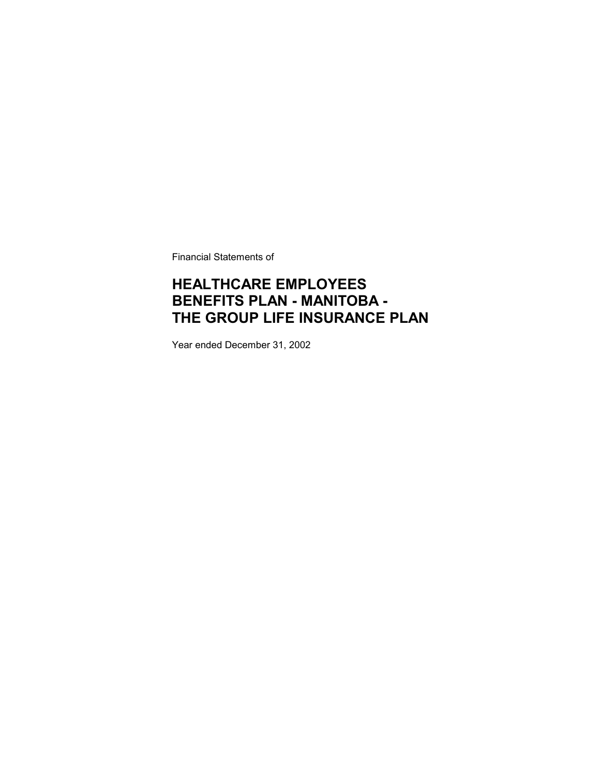Financial Statements of

### **HEALTHCARE EMPLOYEES BENEFITS PLAN - MANITOBA - THE GROUP LIFE INSURANCE PLAN**

Year ended December 31, 2002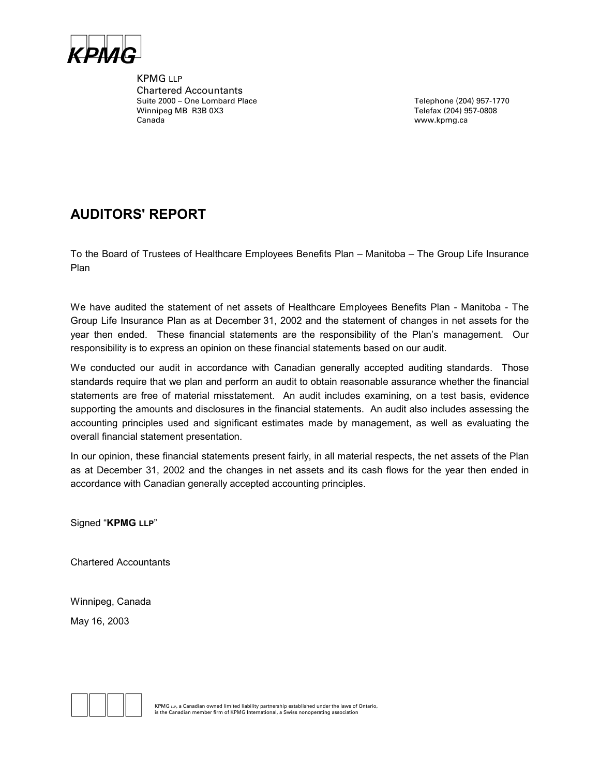

KPMG LLP Chartered Accountants Suite 2000 – One Lombard Place Telephone (204) 957-1770 Winnipeg MB R3B 0X3 Telefax (204) 957-0808 Canada www.kpmg.ca

### **AUDITORS' REPORT**

To the Board of Trustees of Healthcare Employees Benefits Plan – Manitoba – The Group Life Insurance Plan

We have audited the statement of net assets of Healthcare Employees Benefits Plan - Manitoba - The Group Life Insurance Plan as at December 31, 2002 and the statement of changes in net assets for the year then ended. These financial statements are the responsibility of the Plan's management. Our responsibility is to express an opinion on these financial statements based on our audit.

We conducted our audit in accordance with Canadian generally accepted auditing standards. Those standards require that we plan and perform an audit to obtain reasonable assurance whether the financial statements are free of material misstatement. An audit includes examining, on a test basis, evidence supporting the amounts and disclosures in the financial statements. An audit also includes assessing the accounting principles used and significant estimates made by management, as well as evaluating the overall financial statement presentation.

In our opinion, these financial statements present fairly, in all material respects, the net assets of the Plan as at December 31, 2002 and the changes in net assets and its cash flows for the year then ended in accordance with Canadian generally accepted accounting principles.

Signed "**KPMG LLP**"

Chartered Accountants

Winnipeg, Canada May 16, 2003

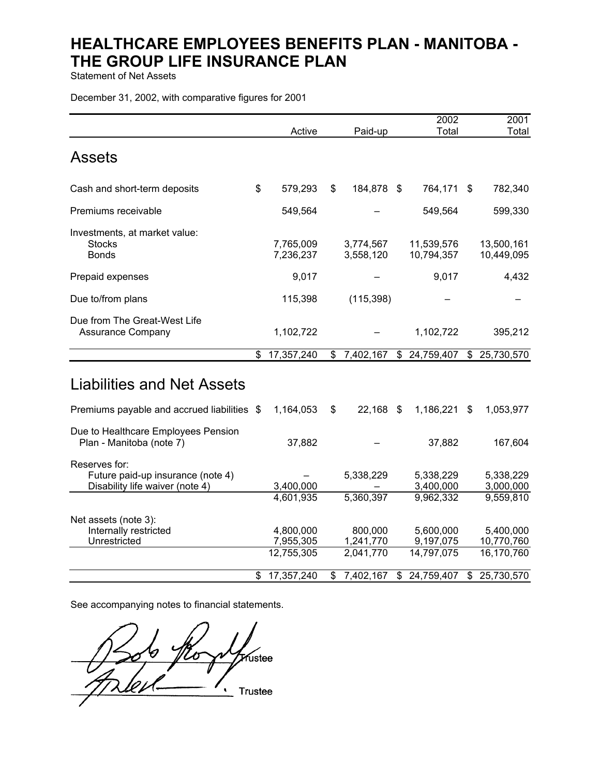Statement of Net Assets

December 31, 2002, with comparative figures for 2001

|                                                                                       | Active                               | Paid-up                           | 2002<br>Total                        |              | 2001<br>Total                         |
|---------------------------------------------------------------------------------------|--------------------------------------|-----------------------------------|--------------------------------------|--------------|---------------------------------------|
| <b>Assets</b>                                                                         |                                      |                                   |                                      |              |                                       |
| Cash and short-term deposits                                                          | \$<br>579,293                        | \$<br>184,878 \$                  | 764,171                              | S.           | 782,340                               |
| Premiums receivable                                                                   | 549,564                              |                                   | 549,564                              |              | 599,330                               |
| Investments, at market value:<br><b>Stocks</b><br><b>Bonds</b>                        | 7,765,009<br>7,236,237               | 3,774,567<br>3,558,120            | 11,539,576<br>10,794,357             |              | 13,500,161<br>10,449,095              |
| Prepaid expenses                                                                      | 9,017                                |                                   | 9,017                                |              | 4,432                                 |
| Due to/from plans                                                                     | 115,398                              | (115, 398)                        |                                      |              |                                       |
| Due from The Great-West Life<br><b>Assurance Company</b>                              | 1,102,722                            |                                   | 1,102,722                            |              | 395,212                               |
|                                                                                       | \$<br>17,357,240                     | \$<br>7,402,167                   | \$24,759,407                         | $\mathbb{S}$ | 25,730,570                            |
| <b>Liabilities and Net Assets</b>                                                     |                                      |                                   |                                      |              |                                       |
| Premiums payable and accrued liabilities \$                                           | 1,164,053                            | \$<br>$22,168$ \$                 | 1,186,221                            | S            | 1,053,977                             |
| Due to Healthcare Employees Pension<br>Plan - Manitoba (note 7)                       | 37,882                               |                                   | 37,882                               |              | 167,604                               |
| Reserves for:<br>Future paid-up insurance (note 4)<br>Disability life waiver (note 4) | 3,400,000                            | 5,338,229                         | 5,338,229<br>3,400,000               |              | 5,338,229<br>3,000,000                |
|                                                                                       | 4,601,935                            | 5,360,397                         | 9,962,332                            |              | 9,559,810                             |
| Net assets (note 3):<br>Internally restricted<br>Unrestricted                         | 4,800,000<br>7,955,305<br>12,755,305 | 800,000<br>1,241,770<br>2,041,770 | 5,600,000<br>9,197,075<br>14,797,075 |              | 5,400,000<br>10,770,760<br>16,170,760 |
|                                                                                       | \$<br>17,357,240                     | \$<br>7,402,167                   | \$<br>24,759,407                     | \$           | 25,730,570                            |

See accompanying notes to financial statements.

 $\bigcap$   $\bigcap$  $\mathcal{H}_\text{ustee}$  $\cdot$  Trustee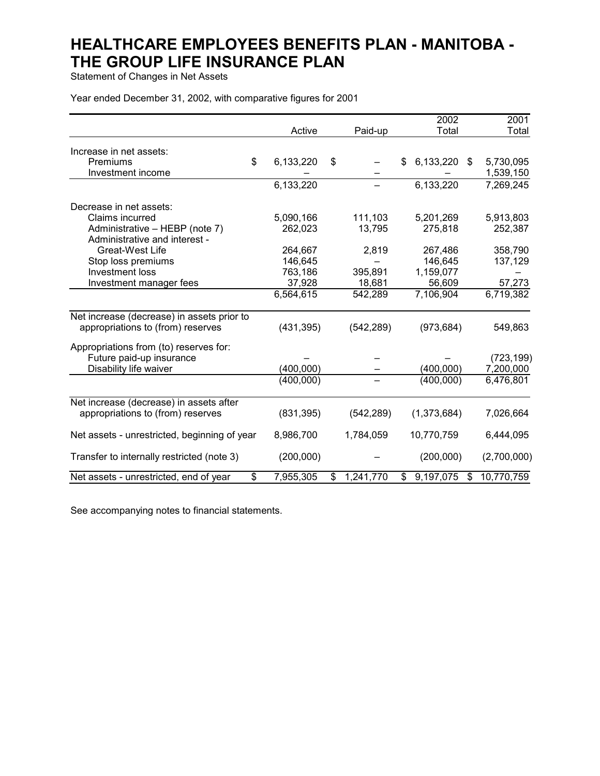Statement of Changes in Net Assets

Year ended December 31, 2002, with comparative figures for 2001

|                                                                    |            |                 | 2002                  | 2001        |
|--------------------------------------------------------------------|------------|-----------------|-----------------------|-------------|
|                                                                    | Active     | Paid-up         | Total                 | Total       |
| Increase in net assets:                                            |            |                 |                       |             |
| \$<br>Premiums                                                     | 6,133,220  | \$              | 6,133,220<br>\$<br>\$ | 5,730,095   |
| Investment income                                                  |            |                 |                       | 1,539,150   |
|                                                                    | 6,133,220  |                 | 6,133,220             | 7,269,245   |
|                                                                    |            |                 |                       |             |
| Decrease in net assets:                                            |            |                 |                       |             |
| Claims incurred                                                    | 5,090,166  | 111,103         | 5,201,269             | 5,913,803   |
| Administrative - HEBP (note 7)                                     | 262,023    | 13,795          | 275,818               | 252,387     |
| Administrative and interest -                                      |            |                 |                       |             |
| Great-West Life                                                    | 264,667    | 2,819           | 267,486               | 358,790     |
| Stop loss premiums                                                 | 146,645    |                 | 146,645               | 137,129     |
| Investment loss                                                    | 763,186    | 395,891         | 1,159,077             |             |
| Investment manager fees                                            | 37,928     | 18,681          | 56,609                | 57,273      |
|                                                                    | 6,564,615  | 542,289         | 7,106,904             | 6,719,382   |
| Net increase (decrease) in assets prior to                         |            |                 |                       |             |
| appropriations to (from) reserves                                  | (431, 395) | (542, 289)      | (973, 684)            | 549,863     |
| Appropriations from (to) reserves for:                             |            |                 |                       |             |
| Future paid-up insurance                                           |            |                 |                       | (723, 199)  |
| Disability life waiver                                             | (400,000)  |                 | (400,000)             | 7,200,000   |
|                                                                    | (400,000)  |                 | (400,000)             | 6,476,801   |
| Net increase (decrease) in assets after                            |            |                 |                       |             |
| appropriations to (from) reserves                                  | (831, 395) | (542, 289)      | (1,373,684)           | 7,026,664   |
| Net assets - unrestricted, beginning of year                       | 8,986,700  | 1,784,059       | 10,770,759            | 6,444,095   |
| Transfer to internally restricted (note 3)                         | (200,000)  |                 | (200,000)             | (2,700,000) |
| $\overline{\mathcal{S}}$<br>Net assets - unrestricted, end of year | 7,955,305  | 1,241,770<br>\$ | 9,197,075<br>\$<br>\$ | 10,770,759  |

See accompanying notes to financial statements.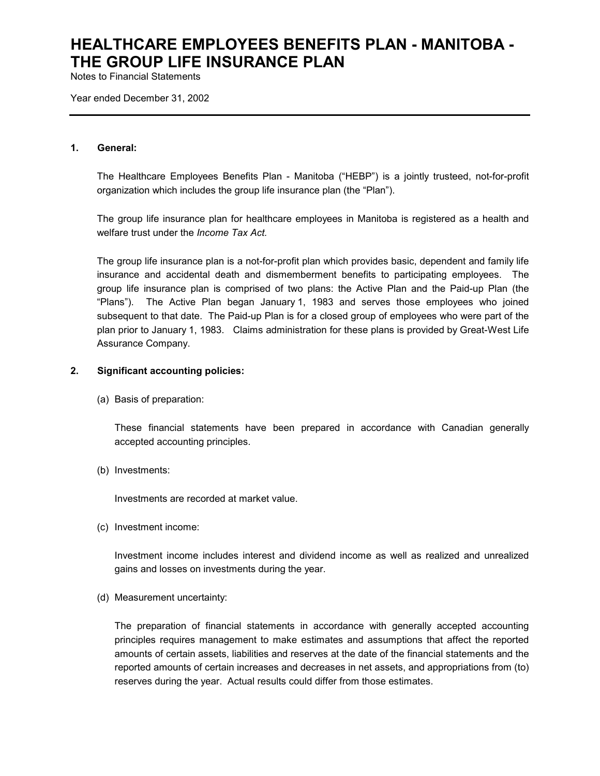Notes to Financial Statements

Year ended December 31, 2002

#### **1. General:**

The Healthcare Employees Benefits Plan - Manitoba ("HEBP") is a jointly trusteed, not-for-profit organization which includes the group life insurance plan (the "Plan").

The group life insurance plan for healthcare employees in Manitoba is registered as a health and welfare trust under the *Income Tax Act.*

The group life insurance plan is a not-for-profit plan which provides basic, dependent and family life insurance and accidental death and dismemberment benefits to participating employees. The group life insurance plan is comprised of two plans: the Active Plan and the Paid-up Plan (the "Plans"). The Active Plan began January 1, 1983 and serves those employees who joined subsequent to that date. The Paid-up Plan is for a closed group of employees who were part of the plan prior to January 1, 1983. Claims administration for these plans is provided by Great-West Life Assurance Company.

#### **2. Significant accounting policies:**

(a) Basis of preparation:

These financial statements have been prepared in accordance with Canadian generally accepted accounting principles.

(b) Investments:

Investments are recorded at market value.

(c) Investment income:

Investment income includes interest and dividend income as well as realized and unrealized gains and losses on investments during the year.

(d) Measurement uncertainty:

The preparation of financial statements in accordance with generally accepted accounting principles requires management to make estimates and assumptions that affect the reported amounts of certain assets, liabilities and reserves at the date of the financial statements and the reported amounts of certain increases and decreases in net assets, and appropriations from (to) reserves during the year. Actual results could differ from those estimates.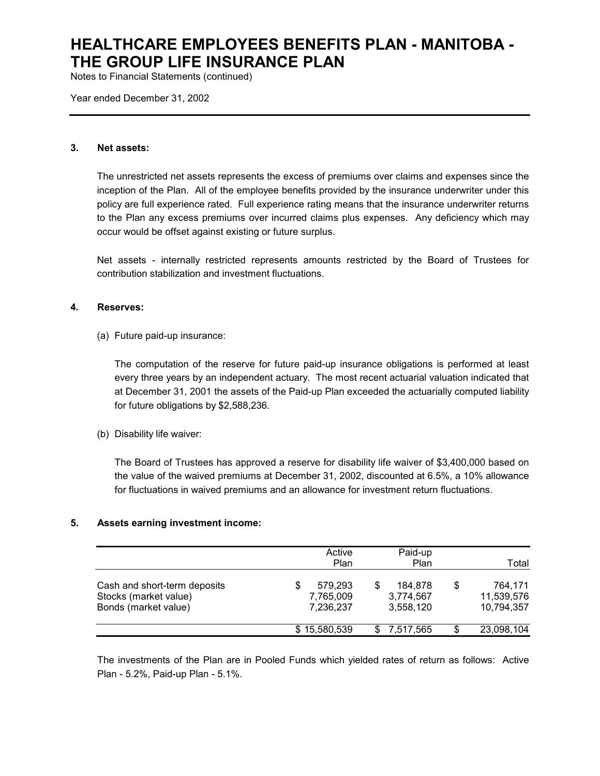Notes to Financial Statements (continued)

Year ended December 31, 2002

#### **3. Net assets:**

The unrestricted net assets represents the excess of premiums over claims and expenses since the inception of the Plan. All of the employee benefits provided by the insurance underwriter under this policy are full experience rated. Full experience rating means that the insurance underwriter returns to the Plan any excess premiums over incurred claims plus expenses. Any deficiency which may occur would be offset against existing or future surplus.

Net assets - internally restricted represents amounts restricted by the Board of Trustees for contribution stabilization and investment fluctuations.

#### **4. Reserves:**

(a) Future paid-up insurance:

The computation of the reserve for future paid-up insurance obligations is performed at least every three years by an independent actuary. The most recent actuarial valuation indicated that at December 31, 2001 the assets of the Paid-up Plan exceeded the actuarially computed liability for future obligations by \$2,588,236.

(b) Disability life waiver:

The Board of Trustees has approved a reserve for disability life waiver of \$3,400,000 based on the value of the waived premiums at December 31, 2002, discounted at 6.5%, a 10% allowance for fluctuations in waived premiums and an allowance for investment return fluctuations.

#### **5. Assets earning investment income:**

|                                                                               | Active<br>Plan                         | Paid-up<br>Plan                         |    | Total                               |
|-------------------------------------------------------------------------------|----------------------------------------|-----------------------------------------|----|-------------------------------------|
| Cash and short-term deposits<br>Stocks (market value)<br>Bonds (market value) | 579.293<br>S<br>7,765,009<br>7,236,237 | 184.878<br>\$<br>3,774,567<br>3,558,120 | S  | 764.171<br>11,539,576<br>10,794,357 |
|                                                                               | \$15,580,539                           | 7.517.565<br>SS                         | \$ | 23,098,104                          |

The investments of the Plan are in Pooled Funds which yielded rates of return as follows: Active Plan - 5.2%, Paid-up Plan - 5.1%.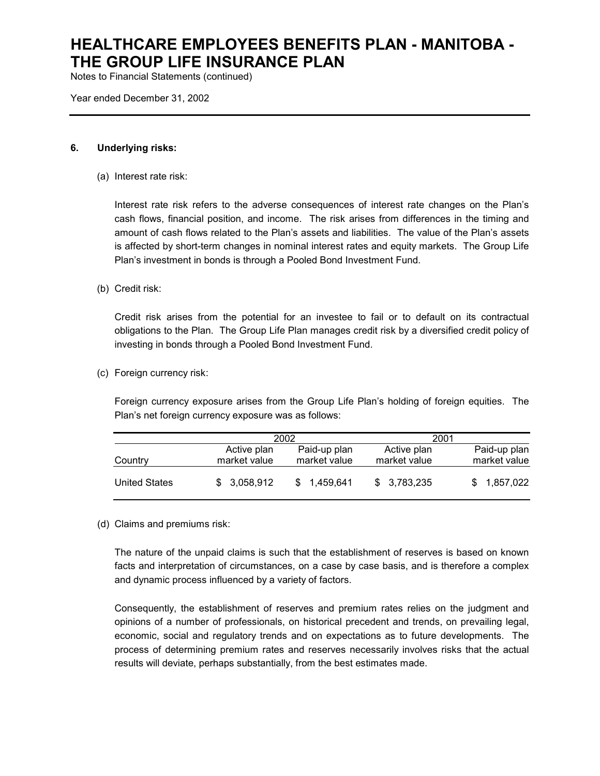Notes to Financial Statements (continued)

Year ended December 31, 2002

#### **6. Underlying risks:**

(a) Interest rate risk:

Interest rate risk refers to the adverse consequences of interest rate changes on the Plan's cash flows, financial position, and income. The risk arises from differences in the timing and amount of cash flows related to the Plan's assets and liabilities. The value of the Plan's assets is affected by short-term changes in nominal interest rates and equity markets. The Group Life Plan's investment in bonds is through a Pooled Bond Investment Fund.

#### (b) Credit risk:

Credit risk arises from the potential for an investee to fail or to default on its contractual obligations to the Plan. The Group Life Plan manages credit risk by a diversified credit policy of investing in bonds through a Pooled Bond Investment Fund.

(c) Foreign currency risk:

Foreign currency exposure arises from the Group Life Plan's holding of foreign equities. The Plan's net foreign currency exposure was as follows:

|                      | 2002                        |                              | 2001                        |                              |
|----------------------|-----------------------------|------------------------------|-----------------------------|------------------------------|
| Country              | Active plan<br>market value | Paid-up plan<br>market value | Active plan<br>market value | Paid-up plan<br>market value |
| <b>United States</b> | \$3,058,912                 | 1.459.641                    | \$3,783,235                 | 1,857,022                    |

(d) Claims and premiums risk:

The nature of the unpaid claims is such that the establishment of reserves is based on known facts and interpretation of circumstances, on a case by case basis, and is therefore a complex and dynamic process influenced by a variety of factors.

Consequently, the establishment of reserves and premium rates relies on the judgment and opinions of a number of professionals, on historical precedent and trends, on prevailing legal, economic, social and regulatory trends and on expectations as to future developments. The process of determining premium rates and reserves necessarily involves risks that the actual results will deviate, perhaps substantially, from the best estimates made.